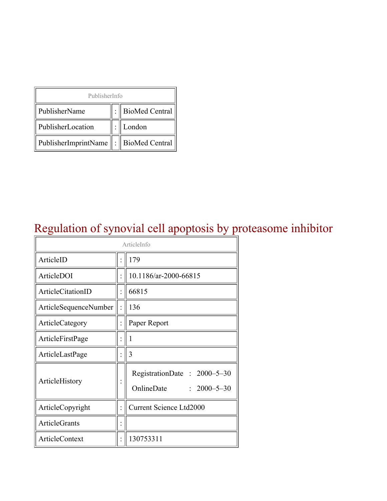| PublisherInfo                         |  |                    |  |  |
|---------------------------------------|--|--------------------|--|--|
| PublisherName                         |  | :   BioMed Central |  |  |
| PublisherLocation                     |  | London             |  |  |
| PublisherImprintName : BioMed Central |  |                    |  |  |

### Regulation of synovial cell apoptosis by proteasome inhibitor

| ArticleInfo           |  |                                                                |  |
|-----------------------|--|----------------------------------------------------------------|--|
| ArticleID             |  | 179                                                            |  |
| ArticleDOI            |  | 10.1186/ar-2000-66815                                          |  |
| ArticleCitationID     |  | 66815                                                          |  |
| ArticleSequenceNumber |  | 136                                                            |  |
| ArticleCategory       |  | Paper Report                                                   |  |
| ArticleFirstPage      |  | 1                                                              |  |
| ArticleLastPage       |  | 3                                                              |  |
| ArticleHistory        |  | RegistrationDate: 2000-5-30<br>OnlineDate<br>$: 2000 - 5 - 30$ |  |
| ArticleCopyright      |  | <b>Current Science Ltd2000</b>                                 |  |
| <b>ArticleGrants</b>  |  |                                                                |  |
| <b>ArticleContext</b> |  | 130753311                                                      |  |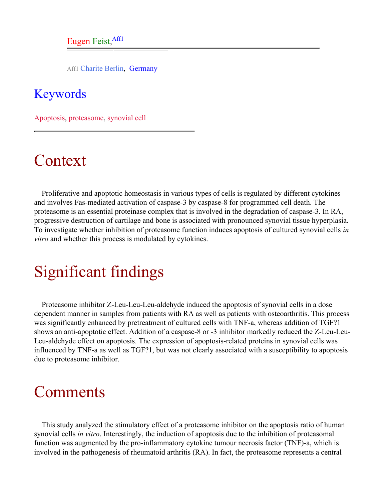Aff1 Charite Berlin, Germany

#### <span id="page-1-0"></span>Keywords

Apoptosis, proteasome, synovial cell

## Context

Proliferative and apoptotic homeostasis in various types of cells is regulated by different cytokines and involves Fas-mediated activation of caspase-3 by caspase-8 for programmed cell death. The proteasome is an essential proteinase complex that is involved in the degradation of caspase-3. In RA, progressive destruction of cartilage and bone is associated with pronounced synovial tissue hyperplasia. To investigate whether inhibition of proteasome function induces apoptosis of cultured synovial cells *in vitro* and whether this process is modulated by cytokines.

# Significant findings

Proteasome inhibitor Z-Leu-Leu-Leu-aldehyde induced the apoptosis of synovial cells in a dose dependent manner in samples from patients with RA as well as patients with osteoarthritis. This process was significantly enhanced by pretreatment of cultured cells with TNF-a, whereas addition of TGF?1 shows an anti-apoptotic effect. Addition of a caspase-8 or -3 inhibitor markedly reduced the Z-Leu-Leu-Leu-aldehyde effect on apoptosis. The expression of apoptosis-related proteins in synovial cells was influenced by TNF-a as well as TGF?1, but was not clearly associated with a susceptibility to apoptosis due to proteasome inhibitor.

#### Comments

This study analyzed the stimulatory effect of a proteasome inhibitor on the apoptosis ratio of human synovial cells *in vitro*. Interestingly, the induction of apoptosis due to the inhibition of proteasomal function was augmented by the pro-inflammatory cytokine tumour necrosis factor (TNF)-a, which is involved in the pathogenesis of rheumatoid arthritis (RA). In fact, the proteasome represents a central